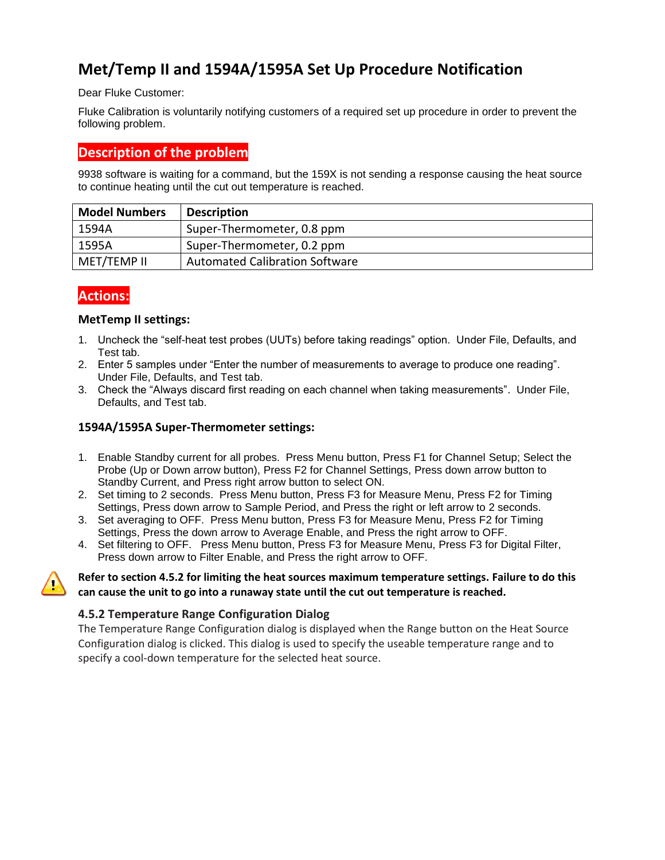# **Met/Temp II and 1594A/1595A Set Up Procedure Notification**

Dear Fluke Customer:

Fluke Calibration is voluntarily notifying customers of a required set up procedure in order to prevent the following problem.

## **Description of the problem**

9938 software is waiting for a command, but the 159X is not sending a response causing the heat source to continue heating until the cut out temperature is reached.

| <b>Model Numbers</b> | <b>Description</b>                    |
|----------------------|---------------------------------------|
| 1594A                | Super-Thermometer, 0.8 ppm            |
| 1595A                | Super-Thermometer, 0.2 ppm            |
| MET/TEMP II          | <b>Automated Calibration Software</b> |

# **Actions:**

#### **MetTemp II settings:**

- 1. Uncheck the "self-heat test probes (UUTs) before taking readings" option. Under File, Defaults, and Test tab.
- 2. Enter 5 samples under "Enter the number of measurements to average to produce one reading". Under File, Defaults, and Test tab.
- 3. Check the "Always discard first reading on each channel when taking measurements". Under File, Defaults, and Test tab.

### **1594A/1595A Super-Thermometer settings:**

- 1. Enable Standby current for all probes. Press Menu button, Press F1 for Channel Setup; Select the Probe (Up or Down arrow button), Press F2 for Channel Settings, Press down arrow button to Standby Current, and Press right arrow button to select ON.
- 2. Set timing to 2 seconds. Press Menu button, Press F3 for Measure Menu, Press F2 for Timing Settings, Press down arrow to Sample Period, and Press the right or left arrow to 2 seconds.
- 3. Set averaging to OFF. Press Menu button, Press F3 for Measure Menu, Press F2 for Timing Settings, Press the down arrow to Average Enable, and Press the right arrow to OFF.
- 4. Set filtering to OFF. Press Menu button, Press F3 for Measure Menu, Press F3 for Digital Filter, Press down arrow to Filter Enable, and Press the right arrow to OFF.

#### **Refer to section 4.5.2 for limiting the heat sources maximum temperature settings. Failure to do this can cause the unit to go into a runaway state until the cut out temperature is reached.**

#### **4.5.2 Temperature Range Configuration Dialog**

The Temperature Range Configuration dialog is displayed when the Range button on the Heat Source Configuration dialog is clicked. This dialog is used to specify the useable temperature range and to specify a cool-down temperature for the selected heat source.